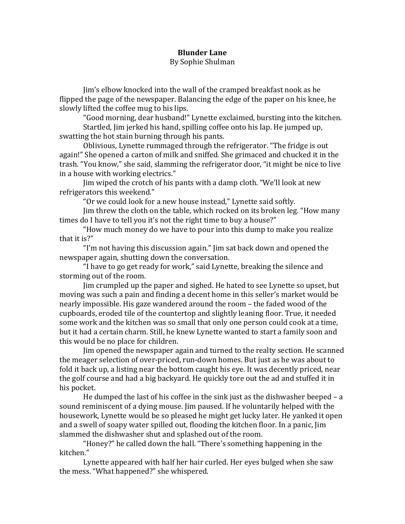## **Blunder Lane**

## By Sophie Shulman

Jim's elbow knocked into the wall of the cramped breakfast nook as he flipped the page of the newspaper. Balancing the edge of the paper on his knee, he slowly lifted the coffee mug to his lips.

"Good morning, dear husband!" Lynette exclaimed, bursting into the kitchen. Startled, Jim jerked his hand, spilling coffee onto his lap. He jumped up, swatting the hot stain burning through his pants.

Oblivious, Lynette rummaged through the refrigerator. "The fridge is out again!" She opened a carton of milk and sniffed. She grimaced and chucked it in the trash. "You know," she said, slamming the refrigerator door, "it might be nice to live in a house with working electrics."

Jim wiped the crotch of his pants with a damp cloth. "We'll look at new refrigerators this weekend."

"Or we could look for a new house instead," Lynette said softly.

Jim threw the cloth on the table, which rocked on its broken leg. "How many times do I have to tell you it's not the right time to buy a house?"

"How much money do we have to pour into this dump to make you realize that it is?"

"I'm not having this discussion again." Jim sat back down and opened the newspaper again, shutting down the conversation.

"I have to go get ready for work," said Lynette, breaking the silence and storming out of the room.

Jim crumpled up the paper and sighed. He hated to see Lynette so upset, but moving was such a pain and finding a decent home in this seller's market would be nearly impossible. His gaze wandered around the room – the faded wood of the cupboards, eroded tile of the countertop and slightly leaning floor. True, it needed some work and the kitchen was so small that only one person could cook at a time, but it had a certain charm. Still, he knew Lynette wanted to start a family soon and this would be no place for children.

Jim opened the newspaper again and turned to the realty section. He scanned the meager selection of over-priced, run-down homes. But just as he was about to fold it back up, a listing near the bottom caught his eye. It was decently priced, near the golf course and had a big backyard. He quickly tore out the ad and stuffed it in his pocket.

He dumped the last of his coffee in the sink just as the dishwasher beeped  $- a$ sound reminiscent of a dying mouse. Jim paused. If he voluntarily helped with the housework, Lynette would be so pleased he might get lucky later. He vanked it open and a swell of soapy water spilled out, flooding the kitchen floor. In a panic, Jim slammed the dishwasher shut and splashed out of the room.

"Honey?" he called down the hall. "There's something happening in the kitchen."

Lynette appeared with half her hair curled. Her eyes bulged when she saw the mess. "What happened?" she whispered.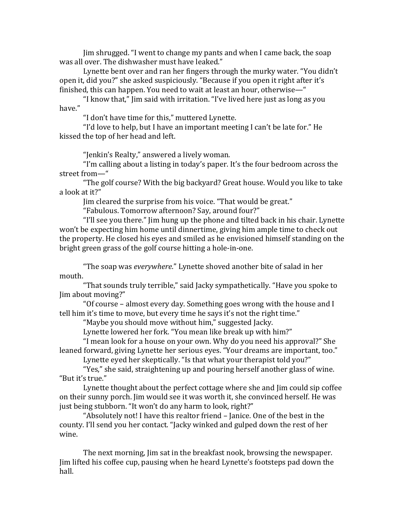Jim shrugged. "I went to change my pants and when I came back, the soap was all over. The dishwasher must have leaked."

Lynette bent over and ran her fingers through the murky water. "You didn't open it, did you?" she asked suspiciously. "Because if you open it right after it's finished, this can happen. You need to wait at least an hour, otherwise— $"$ 

"I know that," Jim said with irritation. "I've lived here just as long as you have."

"I don't have time for this," muttered Lynette.

"I'd love to help, but I have an important meeting I can't be late for." He kissed the top of her head and left.

"Jenkin's Realty," answered a lively woman.

"I'm calling about a listing in today's paper. It's the four bedroom across the street from-"

"The golf course? With the big backyard? Great house. Would you like to take a look at it?"

Jim cleared the surprise from his voice. "That would be great."

"Fabulous. Tomorrow afternoon? Say, around four?"

"I'll see you there." Jim hung up the phone and tilted back in his chair. Lynette won't be expecting him home until dinnertime, giving him ample time to check out the property. He closed his eyes and smiled as he envisioned himself standing on the bright green grass of the golf course hitting a hole-in-one.

"The soap was *everywhere*." Lynette shoved another bite of salad in her mouth. 

"That sounds truly terrible," said Jacky sympathetically. "Have you spoke to Jim about moving?"

"Of course  $-$  almost every day. Something goes wrong with the house and I tell him it's time to move, but every time he says it's not the right time."

"Maybe you should move without him," suggested Jacky.

Lynette lowered her fork. "You mean like break up with him?"

"I mean look for a house on your own. Why do you need his approval?" She leaned forward, giving Lynette her serious eyes. "Your dreams are important, too."

Lynette eyed her skeptically. "Is that what your therapist told you?"

"Yes," she said, straightening up and pouring herself another glass of wine. "But it's true."

Lynette thought about the perfect cottage where she and Jim could sip coffee on their sunny porch. Jim would see it was worth it, she convinced herself. He was just being stubborn. "It won't do any harm to look, right?"

"Absolutely not! I have this realtor friend – Janice. One of the best in the county. I'll send you her contact. "Jacky winked and gulped down the rest of her wine.

The next morning, Jim sat in the breakfast nook, browsing the newspaper. Jim lifted his coffee cup, pausing when he heard Lynette's footsteps pad down the hall.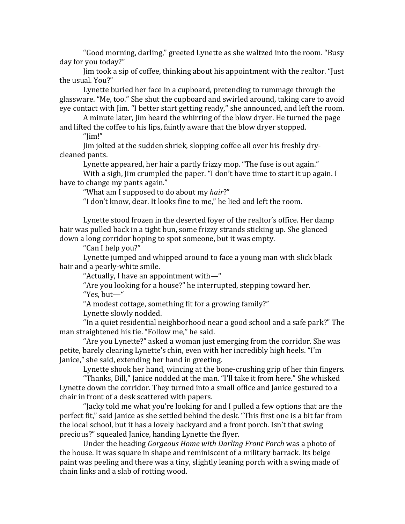"Good morning, darling," greeted Lynette as she waltzed into the room. "Busy" day for you today?"

Jim took a sip of coffee, thinking about his appointment with the realtor. "Just the usual. You?"

Lynette buried her face in a cupboard, pretending to rummage through the glassware. "Me, too." She shut the cupboard and swirled around, taking care to avoid eye contact with Jim. "I better start getting ready," she announced, and left the room.

A minute later, Jim heard the whirring of the blow dryer. He turned the page and lifted the coffee to his lips, faintly aware that the blow dryer stopped.

"Jim!"

Jim jolted at the sudden shriek, slopping coffee all over his freshly drycleaned pants.

Lynette appeared, her hair a partly frizzy mop. "The fuse is out again."

With a sigh, Jim crumpled the paper. "I don't have time to start it up again. I have to change my pants again."

"What am I supposed to do about my hair?"

"I don't know, dear. It looks fine to me," he lied and left the room.

Lynette stood frozen in the deserted foyer of the realtor's office. Her damp hair was pulled back in a tight bun, some frizzy strands sticking up. She glanced down a long corridor hoping to spot someone, but it was empty.

"Can I help you?"

Lynette jumped and whipped around to face a young man with slick black hair and a pearly-white smile.

"Actually, I have an appointment with—"

"Are you looking for a house?" he interrupted, stepping toward her. "Yes, but-"

"A modest cottage, something fit for a growing family?"

Lynette slowly nodded.

"In a quiet residential neighborhood near a good school and a safe park?" The man straightened his tie. "Follow me," he said.

"Are you Lynette?" asked a woman just emerging from the corridor. She was petite, barely clearing Lynette's chin, even with her incredibly high heels. "I'm Janice," she said, extending her hand in greeting.

Lynette shook her hand, wincing at the bone-crushing grip of her thin fingers.

"Thanks, Bill," Janice nodded at the man. "I'll take it from here." She whisked Lynette down the corridor. They turned into a small office and Janice gestured to a chair in front of a desk scattered with papers.

"Jacky told me what you're looking for and I pulled a few options that are the perfect fit," said Janice as she settled behind the desk. "This first one is a bit far from the local school, but it has a lovely backyard and a front porch. Isn't that swing precious?" squealed Janice, handing Lynette the flyer.

Under the heading *Gorgeous Home with Darling Front Porch* was a photo of the house. It was square in shape and reminiscent of a military barrack. Its beige paint was peeling and there was a tiny, slightly leaning porch with a swing made of chain links and a slab of rotting wood.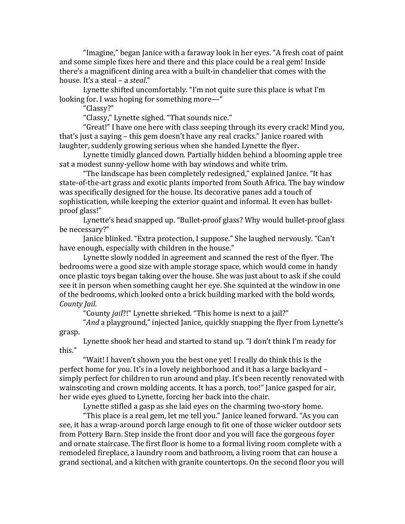"Imagine," began Janice with a faraway look in her eyes. "A fresh coat of paint and some simple fixes here and there and this place could be a real gem! Inside there's a magnificent dining area with a built-in chandelier that comes with the house. It's a steal - a *steal*."

Lynette shifted uncomfortably. "I'm not quite sure this place is what I'm looking for. I was hoping for something more— $"$ 

"Classy?"

"Classy," Lynette sighed. "That sounds nice."

"Great!" I have one here with class seeping through its every crack! Mind you, that's just a saying  $-$  this gem doesn't have any real cracks." Janice roared with laughter, suddenly growing serious when she handed Lynette the flyer.

Lynette timidly glanced down. Partially hidden behind a blooming apple tree sat a modest sunny-yellow home with bay windows and white trim.

"The landscape has been completely redesigned," explained Janice. "It has state-of-the-art grass and exotic plants imported from South Africa. The bay window was specifically designed for the house. Its decorative panes add a touch of sophistication, while keeping the exterior quaint and informal. It even has bulletproof glass!"

Lynette's head snapped up. "Bullet-proof glass? Why would bullet-proof glass be necessary?"

Janice blinked. "Extra protection, I suppose." She laughed nervously. "Can't have enough, especially with children in the house."

Lynette slowly nodded in agreement and scanned the rest of the flyer. The bedrooms were a good size with ample storage space, which would come in handy once plastic toys began taking over the house. She was just about to ask if she could see it in person when something caught her eye. She squinted at the window in one of the bedrooms, which looked onto a brick building marked with the bold words, *County Jail*.

"County *jail*?!" Lynette shrieked. "This home is next to a jail?"

"*And* a playground," injected Janice, quickly snapping the flyer from Lynette's grasp.

Lynette shook her head and started to stand up. "I don't think I'm ready for this."

"Wait! I haven't shown you the best one yet! I really do think this is the perfect home for you. It's in a lovely neighborhood and it has a large backyard – simply perfect for children to run around and play. It's been recently renovated with wainscoting and crown molding accents. It has a porch, too!" Janice gasped for air, her wide eyes glued to Lynette, forcing her back into the chair.

Lynette stifled a gasp as she laid eyes on the charming two-story home.

"This place is a real gem, let me tell you." Janice leaned forward. "As you can see, it has a wrap-around porch large enough to fit one of those wicker outdoor sets from Pottery Barn. Step inside the front door and you will face the gorgeous foyer and ornate staircase. The first floor is home to a formal living room complete with a remodeled fireplace, a laundry room and bathroom, a living room that can house a grand sectional, and a kitchen with granite countertops. On the second floor you will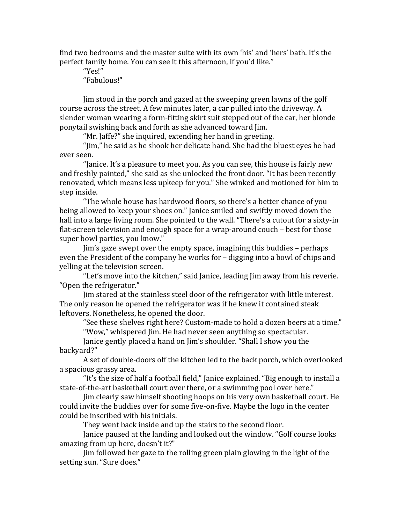find two bedrooms and the master suite with its own 'his' and 'hers' bath. It's the perfect family home. You can see it this afternoon, if you'd like."

"Yes!"

"Fabulous!"

Jim stood in the porch and gazed at the sweeping green lawns of the golf course across the street. A few minutes later, a car pulled into the driveway. A slender woman wearing a form-fitting skirt suit stepped out of the car, her blonde ponytail swishing back and forth as she advanced toward Jim.

"Mr. Jaffe?" she inquired, extending her hand in greeting.

"Jim," he said as he shook her delicate hand. She had the bluest eyes he had ever seen.

"Janice. It's a pleasure to meet you. As you can see, this house is fairly new and freshly painted," she said as she unlocked the front door. "It has been recently renovated, which means less upkeep for you." She winked and motioned for him to step inside.

"The whole house has hardwood floors, so there's a better chance of you being allowed to keep your shoes on." Janice smiled and swiftly moved down the hall into a large living room. She pointed to the wall. "There's a cutout for a sixty-in flat-screen television and enough space for a wrap-around couch – best for those super bowl parties, you know."

Jim's gaze swept over the empty space, imagining this buddies – perhaps even the President of the company he works for - digging into a bowl of chips and yelling at the television screen.

"Let's move into the kitchen," said Janice, leading Jim away from his reverie. "Open the refrigerator."

Jim stared at the stainless steel door of the refrigerator with little interest. The only reason he opened the refrigerator was if he knew it contained steak leftovers. Nonetheless, he opened the door.

"See these shelves right here? Custom-made to hold a dozen beers at a time."

"Wow," whispered Jim. He had never seen anything so spectacular.

Janice gently placed a hand on Jim's shoulder. "Shall I show you the backyard?"

A set of double-doors off the kitchen led to the back porch, which overlooked a spacious grassy area.

"It's the size of half a football field," Janice explained. "Big enough to install a state-of-the-art basketball court over there, or a swimming pool over here."

Jim clearly saw himself shooting hoops on his very own basketball court. He could invite the buddies over for some five-on-five. Maybe the logo in the center could be inscribed with his initials.

They went back inside and up the stairs to the second floor.

Janice paused at the landing and looked out the window. "Golf course looks amazing from up here, doesn't it?"

Jim followed her gaze to the rolling green plain glowing in the light of the setting sun. "Sure does."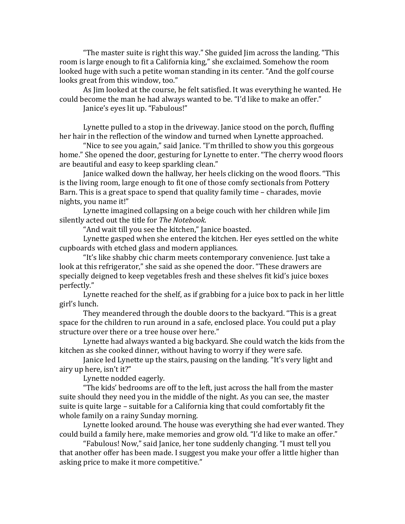"The master suite is right this way." She guided Jim across the landing. "This room is large enough to fit a California king," she exclaimed. Somehow the room looked huge with such a petite woman standing in its center. "And the golf course looks great from this window, too."

As Jim looked at the course, he felt satisfied. It was everything he wanted. He could become the man he had always wanted to be. "I'd like to make an offer."

Janice's eyes lit up. "Fabulous!"

Lynette pulled to a stop in the driveway. Janice stood on the porch, fluffing her hair in the reflection of the window and turned when Lynette approached.

"Nice to see you again," said Janice. "I'm thrilled to show you this gorgeous home." She opened the door, gesturing for Lynette to enter. "The cherry wood floors are beautiful and easy to keep sparkling clean."

Janice walked down the hallway, her heels clicking on the wood floors. "This is the living room, large enough to fit one of those comfy sectionals from Pottery Barn. This is a great space to spend that quality family time  $-$  charades, movie nights, you name it!"

Lynette imagined collapsing on a beige couch with her children while Jim silently acted out the title for *The Notebook*.

"And wait till you see the kitchen," Janice boasted.

Lynette gasped when she entered the kitchen. Her eyes settled on the white cupboards with etched glass and modern appliances.

"It's like shabby chic charm meets contemporary convenience. Just take a look at this refrigerator," she said as she opened the door. "These drawers are specially deigned to keep vegetables fresh and these shelves fit kid's juice boxes perfectly."

Lynette reached for the shelf, as if grabbing for a juice box to pack in her little girl's lunch.

They meandered through the double doors to the backyard. "This is a great space for the children to run around in a safe, enclosed place. You could put a play structure over there or a tree house over here."

Lynette had always wanted a big backyard. She could watch the kids from the kitchen as she cooked dinner, without having to worry if they were safe.

Janice led Lynette up the stairs, pausing on the landing. "It's very light and airy up here, isn't it?"

Lynette nodded eagerly.

"The kids' bedrooms are off to the left, just across the hall from the master suite should they need you in the middle of the night. As you can see, the master suite is quite large - suitable for a California king that could comfortably fit the whole family on a rainy Sunday morning.

Lynette looked around. The house was everything she had ever wanted. They could build a family here, make memories and grow old. "I'd like to make an offer."

"Fabulous! Now," said Janice, her tone suddenly changing. "I must tell you that another offer has been made. I suggest you make your offer a little higher than asking price to make it more competitive."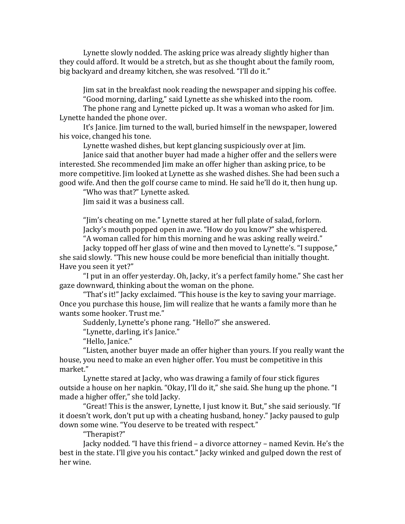Lynette slowly nodded. The asking price was already slightly higher than they could afford. It would be a stretch, but as she thought about the family room, big backyard and dreamy kitchen, she was resolved. "I'll do it."

Jim sat in the breakfast nook reading the newspaper and sipping his coffee. "Good morning, darling," said Lynette as she whisked into the room.

The phone rang and Lynette picked up. It was a woman who asked for Jim. Lynette handed the phone over.

It's Janice. Jim turned to the wall, buried himself in the newspaper, lowered his voice, changed his tone.

Lynette washed dishes, but kept glancing suspiciously over at lim.

Janice said that another buyer had made a higher offer and the sellers were interested. She recommended Jim make an offer higher than asking price, to be more competitive. Jim looked at Lynette as she washed dishes. She had been such a good wife. And then the golf course came to mind. He said he'll do it, then hung up.

"Who was that?" Lynette asked.

Jim said it was a business call.

"[im's cheating on me." Lynette stared at her full plate of salad, forlorn. Jacky's mouth popped open in awe. "How do you know?" she whispered. "A woman called for him this morning and he was asking really weird."

Jacky topped off her glass of wine and then moved to Lynette's. "I suppose," she said slowly. "This new house could be more beneficial than initially thought. Have you seen it yet?"

"I put in an offer yesterday. Oh, Jacky, it's a perfect family home." She cast her gaze downward, thinking about the woman on the phone.

"That's it!" Jacky exclaimed. "This house is the key to saving your marriage. Once you purchase this house, Jim will realize that he wants a family more than he wants some hooker. Trust me."

Suddenly, Lynette's phone rang. "Hello?" she answered.

"Lynette, darling, it's Janice."

"Hello, Janice."

"Listen, another buyer made an offer higher than yours. If you really want the house, you need to make an even higher offer. You must be competitive in this market."

Lynette stared at Jacky, who was drawing a family of four stick figures outside a house on her napkin. "Okay, I'll do it," she said. She hung up the phone. "I made a higher offer," she told Jacky.

"Great! This is the answer, Lynette, I just know it. But," she said seriously. "If it doesn't work, don't put up with a cheating husband, honey." Jacky paused to gulp down some wine. "You deserve to be treated with respect."

"Therapist?"

Jacky nodded. "I have this friend - a divorce attorney - named Kevin. He's the best in the state. I'll give you his contact." Jacky winked and gulped down the rest of her wine.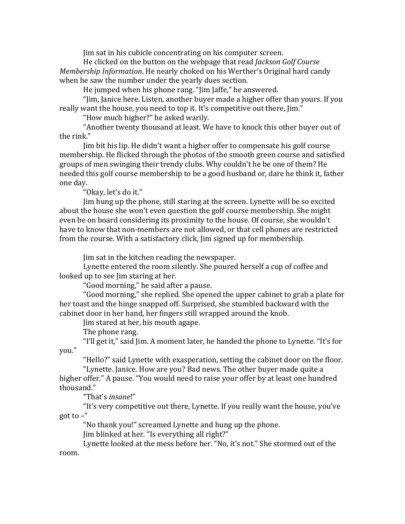Jim sat in his cubicle concentrating on his computer screen.

He clicked on the button on the webpage that read *Jackson Golf Course Membership Information*. He nearly choked on his Werther's Original hard candy when he saw the number under the yearly dues section.

He jumped when his phone rang. "Jim Jaffe," he answered.

"[im, Janice here. Listen, another buyer made a higher offer than yours. If you really want the house, you need to top it. It's competitive out there, Jim."

"How much higher?" he asked warily.

"Another twenty thousand at least. We have to knock this other buyer out of the rink."

Jim bit his lip. He didn't want a higher offer to compensate his golf course membership. He flicked through the photos of the smooth green course and satisfied groups of men swinging their trendy clubs. Why couldn't he be one of them? He needed this golf course membership to be a good husband or, dare he think it, father one dav.

"Okay, let's do it."

Jim hung up the phone, still staring at the screen. Lynette will be so excited about the house she won't even question the golf course membership. She might even be on board considering its proximity to the house. Of course, she wouldn't have to know that non-members are not allowed, or that cell phones are restricted from the course. With a satisfactory click, Jim signed up for membership.

Jim sat in the kitchen reading the newspaper.

Lynette entered the room silently. She poured herself a cup of coffee and looked up to see Jim staring at her.

"Good morning," he said after a pause.

"Good morning," she replied. She opened the upper cabinet to grab a plate for her toast and the hinge snapped off. Surprised, she stumbled backward with the cabinet door in her hand, her fingers still wrapped around the knob.

Jim stared at her, his mouth agape.

The phone rang.

"I'll get it," said Jim. A moment later, he handed the phone to Lynette. "It's for you."

"Hello?" said Lynette with exasperation, setting the cabinet door on the floor. "Lynette. Janice. How are you? Bad news. The other buyer made quite a

higher offer." A pause. "You would need to raise your offer by at least one hundred thousand."

"That's *insane!"* 

"It's very competitive out there, Lynette. If you really want the house, you've got to  $-$ "

"No thank you!" screamed Lynette and hung up the phone.

Jim blinked at her. "Is everything all right?"

Lynette looked at the mess before her. "No, it's not." She stormed out of the room.